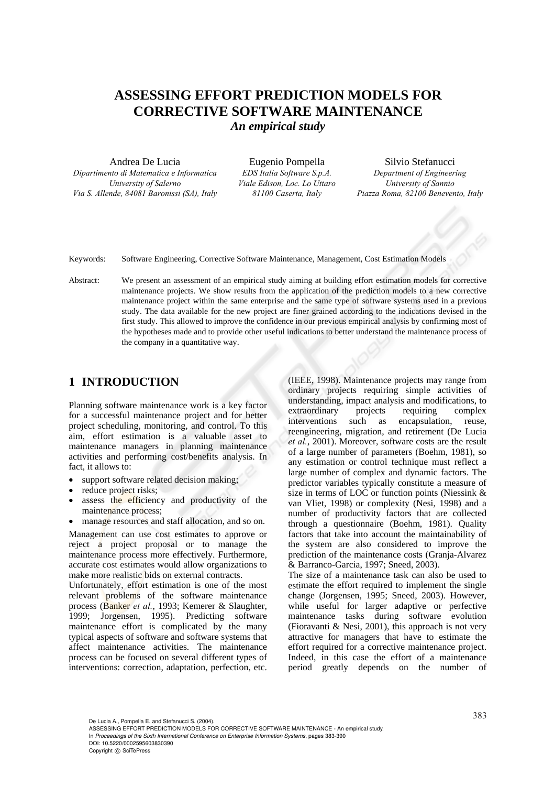# **ASSESSING EFFORT PREDICTION MODELS FOR CORRECTIVE SOFTWARE MAINTENANCE**  *An empirical study*

*Dipartimento di Matematica e Informatica University of Salerno Via S. Allende, 84081 Baronissi (SA), Italy* 

Andrea De Lucia Eugenio Pompella Silvio Stefanucci *EDS Italia Software S.p.A. Viale Edison, Loc. Lo Uttaro 81100 Caserta, Italy* 

*Department of Engineering University of Sannio Piazza Roma, 82100 Benevento, Italy* 

Keywords: Software Engineering, Corrective Software Maintenance, Management, Cost Estimation Models

Abstract: We present an assessment of an empirical study aiming at building effort estimation models for corrective maintenance projects. We show results from the application of the prediction models to a new corrective maintenance project within the same enterprise and the same type of software systems used in a previous study. The data available for the new project are finer grained according to the indications devised in the first study. This allowed to improve the confidence in our previous empirical analysis by confirming most of the hypotheses made and to provide other useful indications to better understand the maintenance process of the company in a quantitative way.

## **1 INTRODUCTION**

Planning software maintenance work is a key factor for a successful maintenance project and for better project scheduling, monitoring, and control. To this aim, effort estimation is a valuable asset to maintenance managers in planning maintenance activities and performing cost/benefits analysis. In fact, it allows to:

- support software related decision making;
- reduce project risks;
- assess the efficiency and productivity of the maintenance process;
- manage resources and staff allocation, and so on.

Management can use cost estimates to approve or reject a project proposal or to manage the maintenance process more effectively. Furthermore, accurate cost estimates would allow organizations to make more realistic bids on external contracts.

Unfortunately, effort estimation is one of the most relevant problems of the software maintenance process (Banker *et al.*, 1993; Kemerer & Slaughter, 1999; Jorgensen, 1995). Predicting software maintenance effort is complicated by the many typical aspects of software and software systems that affect maintenance activities. The maintenance process can be focused on several different types of interventions: correction, adaptation, perfection, etc.

(IEEE, 1998). Maintenance projects may range from ordinary projects requiring simple activities of understanding, impact analysis and modifications, to extraordinary projects requiring complex interventions such as encapsulation, reuse, reengineering, migration, and retirement (De Lucia *et al.*, 2001). Moreover, software costs are the result of a large number of parameters (Boehm, 1981), so any estimation or control technique must reflect a large number of complex and dynamic factors. The predictor variables typically constitute a measure of size in terms of LOC or function points (Niessink & van Vliet, 1998) or complexity (Nesi, 1998) and a number of productivity factors that are collected through a questionnaire (Boehm, 1981). Quality factors that take into account the maintainability of the system are also considered to improve the prediction of the maintenance costs (Granja-Alvarez & Barranco-Garcia, 1997; Sneed, 2003).

The size of a maintenance task can also be used to estimate the effort required to implement the single change (Jorgensen, 1995; Sneed, 2003). However, while useful for larger adaptive or perfective maintenance tasks during software evolution (Fioravanti & Nesi, 2001), this approach is not very attractive for managers that have to estimate the effort required for a corrective maintenance project. Indeed, in this case the effort of a maintenance period greatly depends on the number of

De Lucia A., Pompella E. and Stefanucci S. (2004).

ASSESSING EFFORT PREDICTION MODELS FOR CORRECTIVE SOFTWARE MAINTENANCE - An empirical study. In *Proceedings of the Sixth International Conference on Enterprise Information Systems*, pages 383-390 DOI: 10.5220/0002595603830390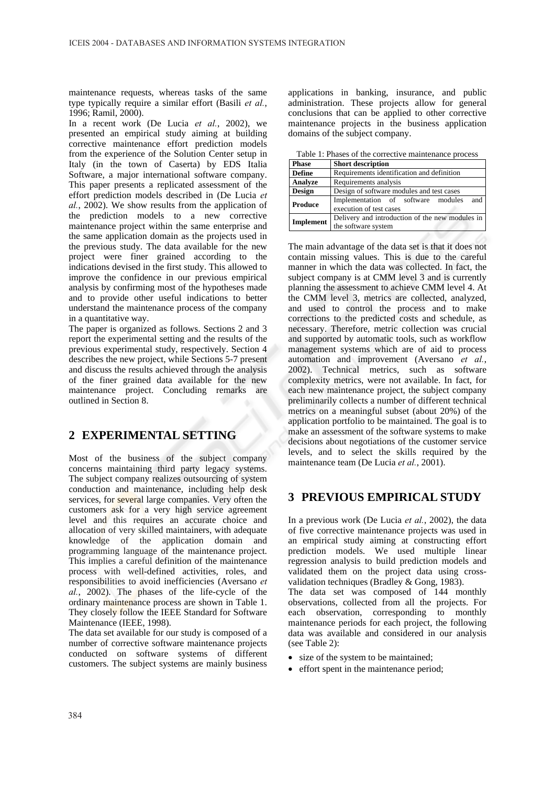maintenance requests, whereas tasks of the same type typically require a similar effort (Basili *et al.*, 1996; Ramil, 2000).

In a recent work (De Lucia *et al.*, 2002), we presented an empirical study aiming at building corrective maintenance effort prediction models from the experience of the Solution Center setup in Italy (in the town of Caserta) by EDS Italia Software, a major international software company. This paper presents a replicated assessment of the effort prediction models described in (De Lucia *et al.*, 2002). We show results from the application of the prediction models to a new corrective maintenance project within the same enterprise and the same application domain as the projects used in the previous study. The data available for the new project were finer grained according to the indications devised in the first study. This allowed to improve the confidence in our previous empirical analysis by confirming most of the hypotheses made and to provide other useful indications to better understand the maintenance process of the company in a quantitative way.

The paper is organized as follows. Sections 2 and 3 report the experimental setting and the results of the previous experimental study, respectively. Section 4 describes the new project, while Sections 5-7 present and discuss the results achieved through the analysis of the finer grained data available for the new maintenance project. Concluding remarks are outlined in Section 8.

### **2 EXPERIMENTAL SETTING**

Most of the business of the subject company concerns maintaining third party legacy systems. The subject company realizes outsourcing of system conduction and maintenance, including help desk services, for several large companies. Very often the customers ask for a very high service agreement level and this requires an accurate choice and allocation of very skilled maintainers, with adequate knowledge of the application domain and programming language of the maintenance project. This implies a careful definition of the maintenance process with well-defined activities, roles, and responsibilities to avoid inefficiencies (Aversano *et al.*, 2002). The phases of the life-cycle of the ordinary maintenance process are shown in Table 1. They closely follow the IEEE Standard for Software Maintenance (IEEE, 1998).

The data set available for our study is composed of a number of corrective software maintenance projects conducted on software systems of different customers. The subject systems are mainly business

applications in banking, insurance, and public administration. These projects allow for general conclusions that can be applied to other corrective maintenance projects in the business application domains of the subject company.

Table 1: Phases of the corrective maintenance process

| <b>Phase</b>   | <b>Short description</b>                        |  |  |  |  |
|----------------|-------------------------------------------------|--|--|--|--|
| <b>Define</b>  | Requirements identification and definition      |  |  |  |  |
| <b>Analyze</b> | Requirements analysis                           |  |  |  |  |
| <b>Design</b>  | Design of software modules and test cases       |  |  |  |  |
| Produce        | and<br>Implementation of software modules       |  |  |  |  |
|                | execution of test cases                         |  |  |  |  |
| Implement      | Delivery and introduction of the new modules in |  |  |  |  |
|                | the software system                             |  |  |  |  |

The main advantage of the data set is that it does not contain missing values. This is due to the careful manner in which the data was collected. In fact, the subject company is at CMM level 3 and is currently planning the assessment to achieve CMM level 4. At the CMM level 3, metrics are collected, analyzed, and used to control the process and to make corrections to the predicted costs and schedule, as necessary. Therefore, metric collection was crucial and supported by automatic tools, such as workflow management systems which are of aid to process automation and improvement (Aversano *et al.*, 2002). Technical metrics, such as software complexity metrics, were not available. In fact, for each new maintenance project, the subject company preliminarily collects a number of different technical metrics on a meaningful subset (about 20%) of the application portfolio to be maintained. The goal is to make an assessment of the software systems to make decisions about negotiations of the customer service levels, and to select the skills required by the maintenance team (De Lucia *et al.*, 2001).

## **3 PREVIOUS EMPIRICAL STUDY**

In a previous work (De Lucia *et al.*, 2002), the data of five corrective maintenance projects was used in an empirical study aiming at constructing effort prediction models. We used multiple linear regression analysis to build prediction models and validated them on the project data using crossvalidation techniques (Bradley & Gong, 1983).

The data set was composed of 144 monthly observations, collected from all the projects. For each observation, corresponding to monthly maintenance periods for each project, the following data was available and considered in our analysis (see Table 2):

- size of the system to be maintained;
- effort spent in the maintenance period;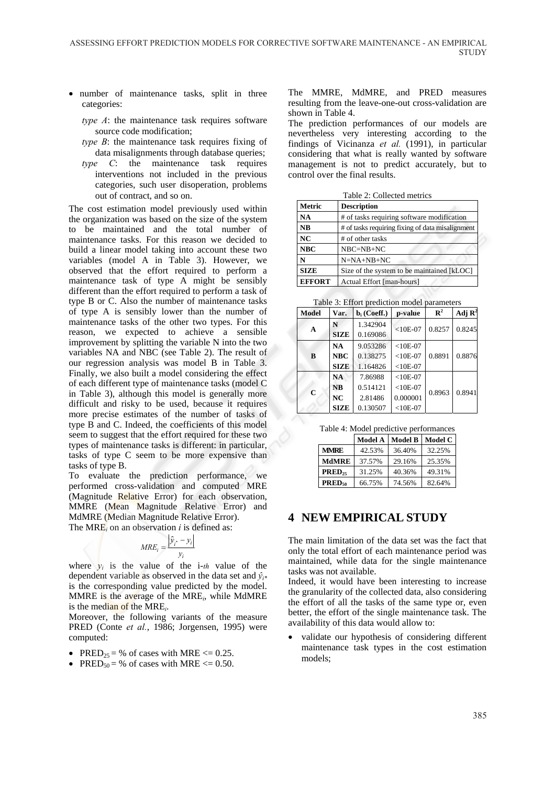• number of maintenance tasks, split in three categories:

*type A*: the maintenance task requires software source code modification;

- *type B*: the maintenance task requires fixing of data misalignments through database queries;
- *type C*: the maintenance task requires interventions not included in the previous categories, such user disoperation, problems out of contract, and so on.

The cost estimation model previously used within the organization was based on the size of the system to be maintained and the total number of maintenance tasks. For this reason we decided to build a linear model taking into account these two variables (model A in Table 3). However, we observed that the effort required to perform a maintenance task of type A might be sensibly different than the effort required to perform a task of type B or C. Also the number of maintenance tasks of type A is sensibly lower than the number of maintenance tasks of the other two types. For this reason, we expected to achieve a sensible improvement by splitting the variable N into the two variables NA and NBC (see Table 2). The result of our regression analysis was model B in Table 3. Finally, we also built a model considering the effect of each different type of maintenance tasks (model C in Table 3), although this model is generally more difficult and risky to be used, because it requires more precise estimates of the number of tasks of type B and C. Indeed, the coefficients of this model seem to suggest that the effort required for these two types of maintenance tasks is different: in particular, tasks of type C seem to be more expensive than tasks of type B.

To evaluate the prediction performance, we performed cross-validation and computed MRE (Magnitude Relative Error) for each observation, MMRE (Mean Magnitude Relative Error) and MdMRE (Median Magnitude Relative Error).

The  $MRE_i$  on an observation *i* is defined as:

$$
MRE_i = \frac{\left|\hat{y}_{i^*} - y_i\right|}{y_i}
$$

where  $y_i$  is the value of the i-*th* value of the dependent variable as observed in the data set and  $\hat{y}_{i*}$ is the corresponding value predicted by the model. MMRE is the average of the MRE*i*, while MdMRE is the median of the MRE*i*.

Moreover, the following variants of the measure PRED (Conte *et al.*, 1986; Jorgensen, 1995) were computed:

- PRED<sub>25</sub> = % of cases with MRE  $\leq$  0.25.
- PRED<sub>50</sub> = % of cases with MRE  $\leq$  0.50.

The MMRE, MdMRE, and PRED measures resulting from the leave-one-out cross-validation are shown in Table 4.

The prediction performances of our models are nevertheless very interesting according to the findings of Vicinanza *et al.* (1991), in particular considering that what is really wanted by software management is not to predict accurately, but to control over the final results.

Table 2: Collected metrics

| Metric        | <b>Description</b>                               |
|---------------|--------------------------------------------------|
| <b>NA</b>     | # of tasks requiring software modification       |
| <b>NB</b>     | # of tasks requiring fixing of data misalignment |
| NC            | # of other tasks                                 |
| <b>NBC</b>    | $NBC = NB + NC$                                  |
| N             | $N=NA+NB+NC$                                     |
| <b>SIZE</b>   | Size of the system to be maintained [kLOC]       |
| <b>EFFORT</b> | Actual Effort [man-hours]                        |

 $T_{11}$   $2$   $T_{21}$   $T_{31}$   $T_{32}$   $T_{33}$   $T_{34}$   $T_{35}$   $T_{36}$   $T_{37}$   $T_{38}$   $T_{39}$   $T_{30}$   $T_{30}$   $T_{30}$   $T_{30}$   $T_{30}$   $T_{30}$   $T_{30}$   $T_{30}$   $T_{30}$   $T_{30}$   $T_{30}$   $T_{30}$   $T_{30}$   $T_{30}$   $T_{30}$   $T_{30}$ 

|              | Table 5. Effort brediction model barameters |               |            |                |           |  |  |
|--------------|---------------------------------------------|---------------|------------|----------------|-----------|--|--|
| Model        | Var.                                        | $bi$ (Coeff.) | p-value    | $\mathbb{R}^2$ | Adj $R^2$ |  |  |
|              | N                                           | 1.342904      | $<$ 10E-07 | 0.8257         | 0.8245    |  |  |
| $\mathbf{A}$ | <b>SIZE</b>                                 | 0.169086      |            |                |           |  |  |
| B            | NA                                          | 9.053286      | $<10E-07$  |                |           |  |  |
|              | <b>NBC</b>                                  | 0.138275      | $<$ 10E-07 | 0.8891         | 0.8876    |  |  |
|              | <b>SIZE</b>                                 | 1.164826      | $<$ 10E-07 |                |           |  |  |
| $\mathbf C$  | <b>NA</b>                                   | 7.86988       | $<$ 10E-07 |                |           |  |  |
|              | <b>NB</b>                                   | 0.514121      | $<$ 10E-07 | 0.8963         | 0.8941    |  |  |
|              | NC                                          | 2.81486       | 0.000001   |                |           |  |  |
|              | <b>SIZE</b>                                 | 0.130507      | $<$ 10E-07 |                |           |  |  |

|                    | Model A | <b>Model B</b> | Model C |
|--------------------|---------|----------------|---------|
| <b>MMRE</b>        | 42.53%  | 36.40%         | 32.25%  |
| <b>MdMRE</b>       | 37.57%  | 29.16%         | 25.35%  |
| $PRED_{25}$        | 31.25%  | 40.36%         | 49.31%  |
| PRED <sub>50</sub> | 66.75%  | 74.56%         | 82.64%  |

### **4 NEW EMPIRICAL STUDY**

The main limitation of the data set was the fact that only the total effort of each maintenance period was maintained, while data for the single maintenance tasks was not available.

Indeed, it would have been interesting to increase the granularity of the collected data, also considering the effort of all the tasks of the same type or, even better, the effort of the single maintenance task. The availability of this data would allow to:

validate our hypothesis of considering different maintenance task types in the cost estimation models;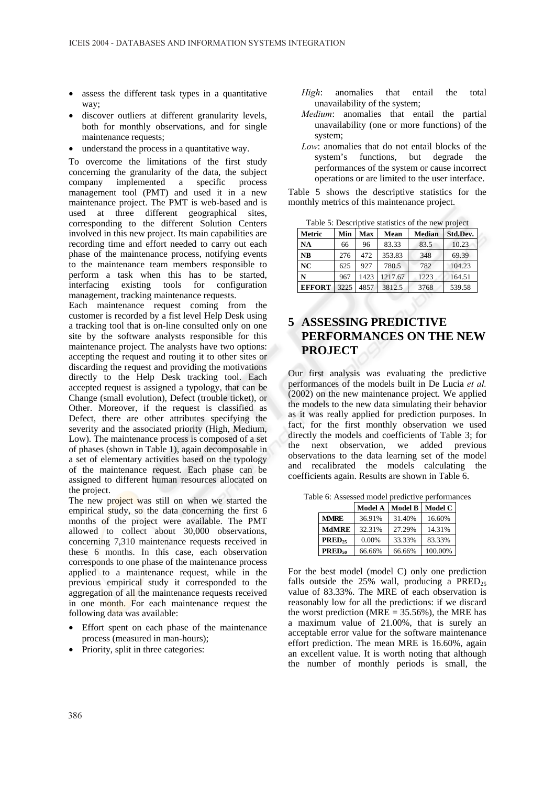- assess the different task types in a quantitative way;
- discover outliers at different granularity levels, both for monthly observations, and for single maintenance requests;
- understand the process in a quantitative way.

To overcome the limitations of the first study concerning the granularity of the data, the subject company implemented a specific process management tool (PMT) and used it in a new maintenance project. The PMT is web-based and is used at three different geographical sites, corresponding to the different Solution Centers involved in this new project. Its main capabilities are recording time and effort needed to carry out each phase of the maintenance process, notifying events to the maintenance team members responsible to perform a task when this has to be started, interfacing existing tools for configuration management, tracking maintenance requests.

Each maintenance request coming from the customer is recorded by a fist level Help Desk using a tracking tool that is on-line consulted only on one site by the software analysts responsible for this maintenance project. The analysts have two options: accepting the request and routing it to other sites or discarding the request and providing the motivations directly to the Help Desk tracking tool. Each accepted request is assigned a typology, that can be Change (small evolution), Defect (trouble ticket), or Other. Moreover, if the request is classified as Defect, there are other attributes specifying the severity and the associated priority (High, Medium, Low). The maintenance process is composed of a set of phases (shown in Table 1), again decomposable in a set of elementary activities based on the typology of the maintenance request. Each phase can be assigned to different human resources allocated on the project.

The new project was still on when we started the empirical study, so the data concerning the first 6 months of the project were available. The PMT allowed to collect about 30,000 observations, concerning 7,310 maintenance requests received in these 6 months. In this case, each observation corresponds to one phase of the maintenance process applied to a maintenance request, while in the previous empirical study it corresponded to the aggregation of all the maintenance requests received in one month. For each maintenance request the following data was available:

- Effort spent on each phase of the maintenance process (measured in man-hours);
- Priority, split in three categories:
- *High*: anomalies that entail the total unavailability of the system;
- *Medium*: anomalies that entail the partial unavailability (one or more functions) of the system;
- *Low*: anomalies that do not entail blocks of the system's functions, but degrade the performances of the system or cause incorrect operations or are limited to the user interface.

Table 5 shows the descriptive statistics for the monthly metrics of this maintenance project.

Table 5: Descriptive statistics of the new project

| Metric        | Min  | Max  | Mean    | <b>Median</b> | Std.Dev. |
|---------------|------|------|---------|---------------|----------|
| <b>NA</b>     | 66   | 96   | 83.33   | 83.5          | 10.23    |
| <b>NB</b>     | 276  | 472  | 353.83  | 348           | 69.39    |
| NC            | 625  | 927  | 780.5   | 782           | 104.23   |
| N             | 967  | 1423 | 1217.67 | 1223          | 164.51   |
| <b>EFFORT</b> | 3225 | 4857 | 3812.5  | 3768          | 539.58   |

## **5 ASSESSING PREDICTIVE PERFORMANCES ON THE NEW PROJECT**

Our first analysis was evaluating the predictive performances of the models built in De Lucia *et al.* (2002) on the new maintenance project. We applied the models to the new data simulating their behavior as it was really applied for prediction purposes. In fact, for the first monthly observation we used directly the models and coefficients of Table 3; for the next observation, we added previous observations to the data learning set of the model and recalibrated the models calculating the coefficients again. Results are shown in Table 6.

Table 6: Assessed model predictive performances

|                    | Model A  | <b>Model B</b> | Model C |
|--------------------|----------|----------------|---------|
| <b>MMRE</b>        | 36.91%   | 31.40%         | 16.60%  |
| <b>MdMRE</b>       | 32.31%   | 27.29%         | 14.31%  |
| $PRED_{25}$        | $0.00\%$ | 33.33%         | 83.33%  |
| PRED <sub>50</sub> | 66.66%   | 66.66%         | 100.00% |

For the best model (model C) only one prediction falls outside the  $25\%$  wall, producing a PRED<sub>25</sub> value of 83.33%. The MRE of each observation is reasonably low for all the predictions: if we discard the worst prediction (MRE  $= 35.56\%$ ), the MRE has a maximum value of 21.00%, that is surely an acceptable error value for the software maintenance effort prediction. The mean MRE is 16.60%, again an excellent value. It is worth noting that although the number of monthly periods is small, the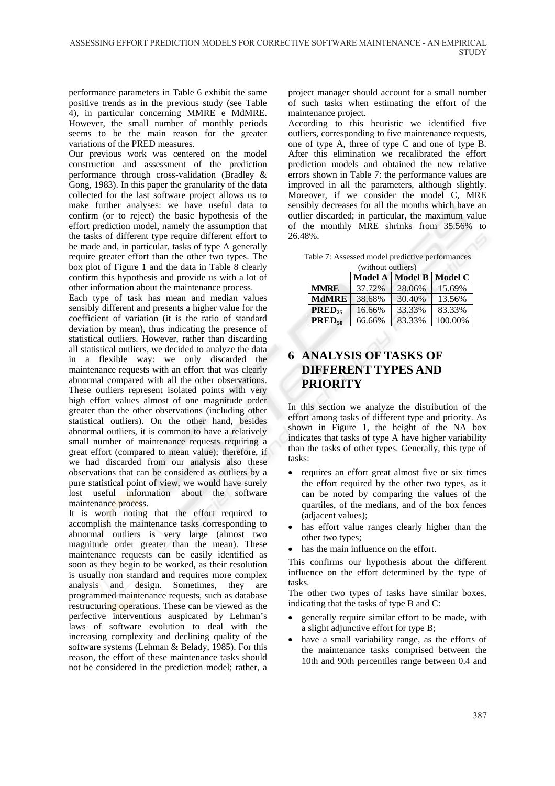performance parameters in Table 6 exhibit the same positive trends as in the previous study (see Table 4), in particular concerning MMRE e MdMRE. However, the small number of monthly periods seems to be the main reason for the greater variations of the PRED measures.

Our previous work was centered on the model construction and assessment of the prediction performance through cross-validation (Bradley & Gong, 1983). In this paper the granularity of the data collected for the last software project allows us to make further analyses: we have useful data to confirm (or to reject) the basic hypothesis of the effort prediction model, namely the assumption that the tasks of different type require different effort to be made and, in particular, tasks of type A generally require greater effort than the other two types. The box plot of Figure 1 and the data in Table 8 clearly confirm this hypothesis and provide us with a lot of other information about the maintenance process.

Each type of task has mean and median values sensibly different and presents a higher value for the coefficient of variation (it is the ratio of standard deviation by mean), thus indicating the presence of statistical outliers. However, rather than discarding all statistical outliers, we decided to analyze the data in a flexible way: we only discarded the maintenance requests with an effort that was clearly abnormal compared with all the other observations. These outliers represent isolated points with very high effort values almost of one magnitude order greater than the other observations (including other statistical outliers). On the other hand, besides abnormal outliers, it is common to have a relatively small number of maintenance requests requiring a great effort (compared to mean value); therefore, if we had discarded from our analysis also these observations that can be considered as outliers by a pure statistical point of view, we would have surely lost useful information about the software maintenance process.

It is worth noting that the effort required to accomplish the maintenance tasks corresponding to abnormal outliers is very large (almost two magnitude order greater than the mean). These maintenance requests can be easily identified as soon as they begin to be worked, as their resolution is usually non standard and requires more complex analysis and design. Sometimes, they are programmed maintenance requests, such as database restructuring operations. These can be viewed as the perfective interventions auspicated by Lehman's laws of software evolution to deal with the increasing complexity and declining quality of the software systems (Lehman & Belady, 1985). For this reason, the effort of these maintenance tasks should not be considered in the prediction model; rather, a

project manager should account for a small number of such tasks when estimating the effort of the maintenance project.

According to this heuristic we identified five outliers, corresponding to five maintenance requests, one of type A, three of type C and one of type B. After this elimination we recalibrated the effort prediction models and obtained the new relative errors shown in Table 7: the performance values are improved in all the parameters, although slightly. Moreover, if we consider the model C, MRE sensibly decreases for all the months which have an outlier discarded; in particular, the maximum value of the monthly MRE shrinks from 35.56% to 26.48%.

Table 7: Assessed model predictive performances  $(x, t)$  out outliers)

| (without outhers) |                |        |                   |  |  |
|-------------------|----------------|--------|-------------------|--|--|
|                   | <b>Model A</b> |        | Model B   Model C |  |  |
| <b>MMRE</b>       | 37.72%         | 28.06% | 15.69%            |  |  |
| <b>MdMRE</b>      | 38.68%         | 30.40% | 13.56%            |  |  |
| $PRED_{25}$       | 16.66%         | 33.33% | 83.33%            |  |  |
| $PRED_{50}$       | 66.66%         | 83.33% | 100.00%           |  |  |

# **6 ANALYSIS OF TASKS OF DIFFERENT TYPES AND PRIORITY**

In this section we analyze the distribution of the effort among tasks of different type and priority. As shown in Figure 1, the height of the NA box indicates that tasks of type A have higher variability than the tasks of other types. Generally, this type of tasks:

- requires an effort great almost five or six times the effort required by the other two types, as it can be noted by comparing the values of the quartiles, of the medians, and of the box fences (adjacent values);
- has effort value ranges clearly higher than the other two types;
- has the main influence on the effort.

This confirms our hypothesis about the different influence on the effort determined by the type of tasks.

The other two types of tasks have similar boxes, indicating that the tasks of type B and C:

- generally require similar effort to be made, with a slight adjunctive effort for type B;
- have a small variability range, as the efforts of the maintenance tasks comprised between the 10th and 90th percentiles range between 0.4 and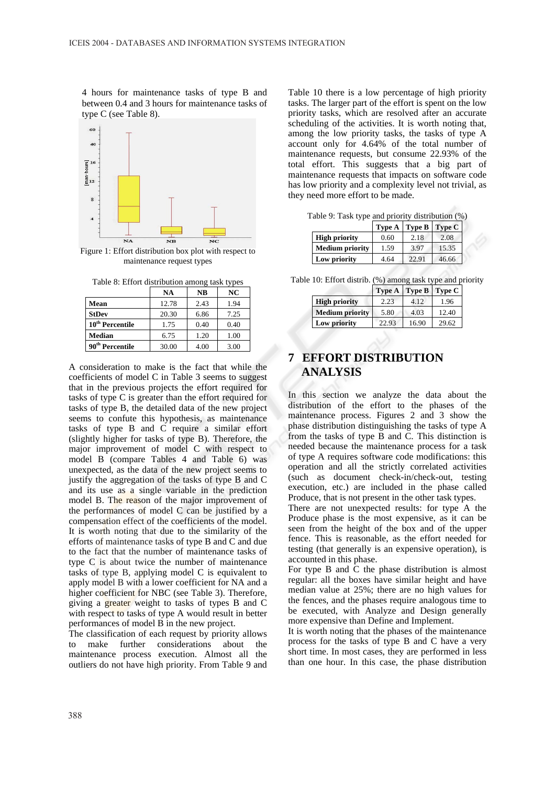4 hours for maintenance tasks of type B and between 0.4 and 3 hours for maintenance tasks of type C (see Table 8).



Figure 1: Effort distribution box plot with respect to maintenance request types

|                             | NA    | NB   | NC   |
|-----------------------------|-------|------|------|
| Mean                        | 12.78 | 2.43 | 1.94 |
| <b>StDev</b>                | 20.30 | 6.86 | 7.25 |
| 10 <sup>th</sup> Percentile | 1.75  | 0.40 | 0.40 |
| <b>Median</b>               | 6.75  | 1.20 | 1.00 |
| 90 <sup>th</sup> Percentile | 30.00 | 4.00 | 3.00 |

A consideration to make is the fact that while the coefficients of model C in Table 3 seems to suggest that in the previous projects the effort required for tasks of type C is greater than the effort required for tasks of type B, the detailed data of the new project seems to confute this hypothesis, as maintenance tasks of type B and C require a similar effort (slightly higher for tasks of type B). Therefore, the major improvement of model C with respect to model B (compare Tables 4 and Table 6) was unexpected, as the data of the new project seems to justify the aggregation of the tasks of type B and C and its use as a single variable in the prediction model B. The reason of the major improvement of the performances of model C can be justified by a compensation effect of the coefficients of the model. It is worth noting that due to the similarity of the efforts of maintenance tasks of type B and C and due to the fact that the number of maintenance tasks of type C is about twice the number of maintenance tasks of type B, applying model C is equivalent to apply model B with a lower coefficient for NA and a higher coefficient for NBC (see Table 3). Therefore, giving a greater weight to tasks of types B and C with respect to tasks of type A would result in better performances of model B in the new project.

The classification of each request by priority allows to make further considerations about the maintenance process execution. Almost all the outliers do not have high priority. From Table 9 and

Table 10 there is a low percentage of high priority tasks. The larger part of the effort is spent on the low priority tasks, which are resolved after an accurate scheduling of the activities. It is worth noting that, among the low priority tasks, the tasks of type A account only for 4.64% of the total number of maintenance requests, but consume 22.93% of the total effort. This suggests that a big part of maintenance requests that impacts on software code has low priority and a complexity level not trivial, as they need more effort to be made.

|                        |      |       | <b>Type A</b>   <b>Type B</b>   <b>Type C</b> |  |
|------------------------|------|-------|-----------------------------------------------|--|
| <b>High priority</b>   | 0.60 | 2.18  | 2.08                                          |  |
| <b>Medium priority</b> | 1.59 | 3.97  | 15.35                                         |  |
| Low priority           | 4.64 | 22.91 | 46.66                                         |  |

Table 10: Effort distrib. (%) among task type and priority

|                        |       |       | <b>Type A</b> Type B Type C |
|------------------------|-------|-------|-----------------------------|
| <b>High priority</b>   | 2.23  | 4.12  | 1.96                        |
| <b>Medium priority</b> | 5.80  | 4.03  | 12.40                       |
| Low priority           | 22.93 | 16.90 | 29.62                       |

## **7 EFFORT DISTRIBUTION ANALYSIS**

In this section we analyze the data about the distribution of the effort to the phases of the maintenance process. Figures 2 and 3 show the phase distribution distinguishing the tasks of type A from the tasks of type B and C. This distinction is needed because the maintenance process for a task of type A requires software code modifications: this operation and all the strictly correlated activities (such as document check-in/check-out, testing execution, etc.) are included in the phase called Produce, that is not present in the other task types.

There are not unexpected results: for type A the Produce phase is the most expensive, as it can be seen from the height of the box and of the upper fence. This is reasonable, as the effort needed for testing (that generally is an expensive operation), is accounted in this phase.

For type B and C the phase distribution is almost regular: all the boxes have similar height and have median value at 25%; there are no high values for the fences, and the phases require analogous time to be executed, with Analyze and Design generally more expensive than Define and Implement.

It is worth noting that the phases of the maintenance process for the tasks of type B and C have a very short time. In most cases, they are performed in less than one hour. In this case, the phase distribution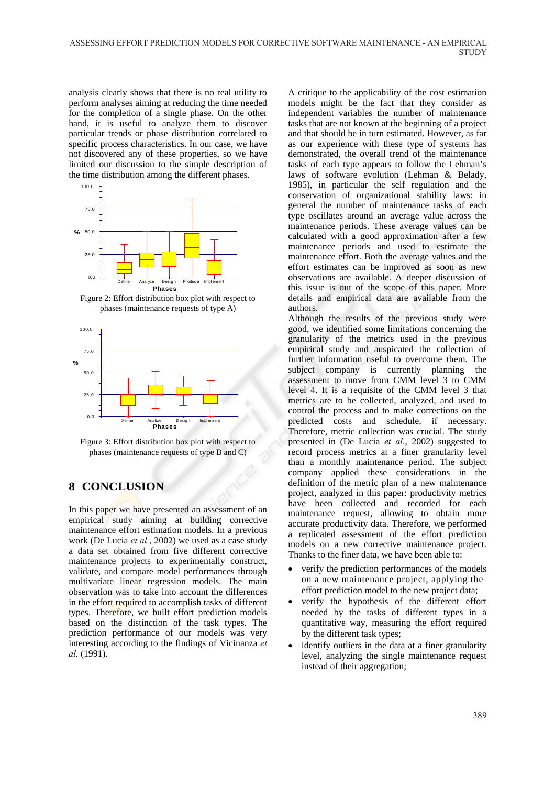analysis clearly shows that there is no real utility to perform analyses aiming at reducing the time needed for the completion of a single phase. On the other hand, it is useful to analyze them to discover particular trends or phase distribution correlated to specific process characteristics. In our case, we have not discovered any of these properties, so we have limited our discussion to the simple description of the time distribution among the different phases.



Figure 2: Effort distribution box plot with respect to phases (maintenance requests of type A)



Figure 3: Effort distribution box plot with respect to phases (maintenance requests of type B and C)

# **8 CONCLUSION**

In this paper we have presented an assessment of an empirical study aiming at building corrective maintenance effort estimation models. In a previous work (De Lucia *et al.*, 2002) we used as a case study a data set obtained from five different corrective maintenance projects to experimentally construct, validate, and compare model performances through multivariate linear regression models. The main observation was to take into account the differences in the effort required to accomplish tasks of different types. Therefore, we built effort prediction models based on the distinction of the task types. The prediction performance of our models was very interesting according to the findings of Vicinanza *et al.* (1991).

A critique to the applicability of the cost estimation models might be the fact that they consider as independent variables the number of maintenance tasks that are not known at the beginning of a project and that should be in turn estimated. However, as far as our experience with these type of systems has demonstrated, the overall trend of the maintenance tasks of each type appears to follow the Lehman's laws of software evolution (Lehman & Belady, 1985), in particular the self regulation and the conservation of organizational stability laws: in general the number of maintenance tasks of each type oscillates around an average value across the maintenance periods. These average values can be calculated with a good approximation after a few maintenance periods and used to estimate the maintenance effort. Both the average values and the effort estimates can be improved as soon as new observations are available. A deeper discussion of this issue is out of the scope of this paper. More details and empirical data are available from the authors.

Although the results of the previous study were good, we identified some limitations concerning the granularity of the metrics used in the previous empirical study and auspicated the collection of further information useful to overcome them. The subject company is currently planning the assessment to move from CMM level 3 to CMM level 4. It is a requisite of the CMM level 3 that metrics are to be collected, analyzed, and used to control the process and to make corrections on the predicted costs and schedule, if necessary. Therefore, metric collection was crucial. The study presented in (De Lucia *et al.*, 2002) suggested to record process metrics at a finer granularity level than a monthly maintenance period. The subject company applied these considerations in the definition of the metric plan of a new maintenance project, analyzed in this paper: productivity metrics have been collected and recorded for each maintenance request, allowing to obtain more accurate productivity data. Therefore, we performed a replicated assessment of the effort prediction models on a new corrective maintenance project. Thanks to the finer data, we have been able to:

- verify the prediction performances of the models on a new maintenance project, applying the effort prediction model to the new project data;
- verify the hypothesis of the different effort needed by the tasks of different types in a quantitative way, measuring the effort required by the different task types;
- identify outliers in the data at a finer granularity level, analyzing the single maintenance request instead of their aggregation;